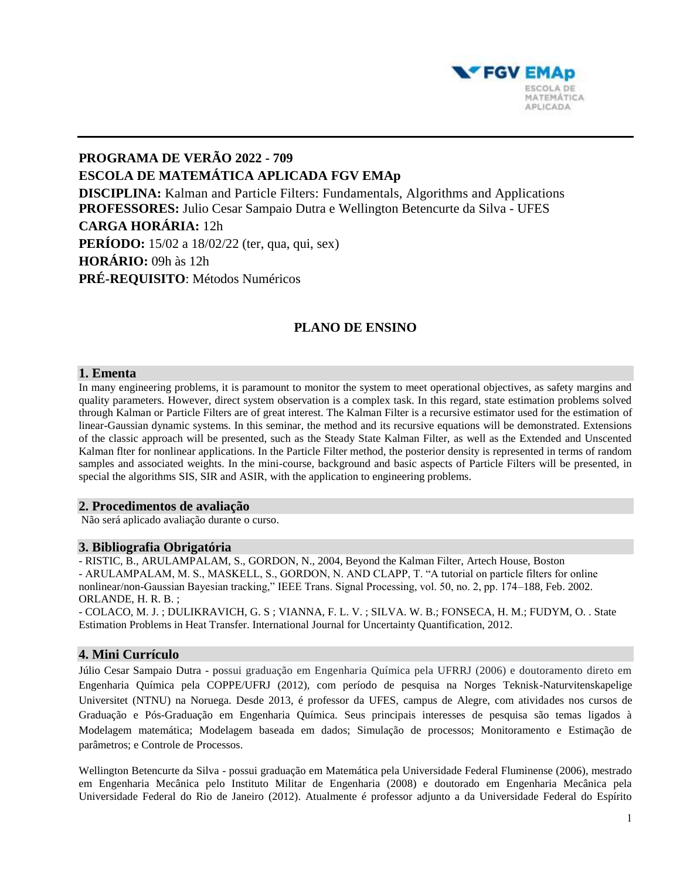

# **PROGRAMA DE VERÃO 2022 - 709 ESCOLA DE MATEMÁTICA APLICADA FGV EMAp DISCIPLINA:** Kalman and Particle Filters: Fundamentals, Algorithms and Applications **PROFESSORES:** Julio Cesar Sampaio Dutra e Wellington Betencurte da Silva - UFES **CARGA HORÁRIA:** 12h **PERÍODO:** 15/02 a 18/02/22 (ter, qua, qui, sex) **HORÁRIO:** 09h às 12h **PRÉ-REQUISITO**: Métodos Numéricos

## **PLANO DE ENSINO**

### **1. Ementa**

In many engineering problems, it is paramount to monitor the system to meet operational objectives, as safety margins and quality parameters. However, direct system observation is a complex task. In this regard, state estimation problems solved through Kalman or Particle Filters are of great interest. The Kalman Filter is a recursive estimator used for the estimation of linear-Gaussian dynamic systems. In this seminar, the method and its recursive equations will be demonstrated. Extensions of the classic approach will be presented, such as the Steady State Kalman Filter, as well as the Extended and Unscented Kalman flter for nonlinear applications. In the Particle Filter method, the posterior density is represented in terms of random samples and associated weights. In the mini-course, background and basic aspects of Particle Filters will be presented, in special the algorithms SIS, SIR and ASIR, with the application to engineering problems.

#### **2. Procedimentos de avaliação**

Não será aplicado avaliação durante o curso.

#### **3. Bibliografia Obrigatória**

- RISTIC, B., ARULAMPALAM, S., GORDON, N., 2004, Beyond the Kalman Filter, Artech House, Boston - ARULAMPALAM, M. S., MASKELL, S., GORDON, N. AND CLAPP, T. "A tutorial on particle filters for online nonlinear/non-Gaussian Bayesian tracking," IEEE Trans. Signal Processing, vol. 50, no. 2, pp. 174–188, Feb. 2002. ORLANDE, H. R. B. ;

- COLACO, M. J. ; DULIKRAVICH, G. S ; VIANNA, F. L. V. ; SILVA. W. B.; FONSECA, H. M.; FUDYM, O. . State Estimation Problems in Heat Transfer. International Journal for Uncertainty Quantification, 2012.

#### **4. Mini Currículo**

Júlio Cesar Sampaio Dutra - possui graduação em Engenharia Química pela UFRRJ (2006) e doutoramento direto em Engenharia Química pela COPPE/UFRJ (2012), com período de pesquisa na Norges Teknisk-Naturvitenskapelige Universitet (NTNU) na Noruega. Desde 2013, é professor da UFES, campus de Alegre, com atividades nos cursos de Graduação e Pós-Graduação em Engenharia Química. Seus principais interesses de pesquisa são temas ligados à Modelagem matemática; Modelagem baseada em dados; Simulação de processos; Monitoramento e Estimação de parâmetros; e Controle de Processos.

Wellington Betencurte da Silva - possui graduação em Matemática pela Universidade Federal Fluminense (2006), mestrado em Engenharia Mecânica pelo Instituto Militar de Engenharia (2008) e doutorado em Engenharia Mecânica pela Universidade Federal do Rio de Janeiro (2012). Atualmente é professor adjunto a da Universidade Federal do Espírito